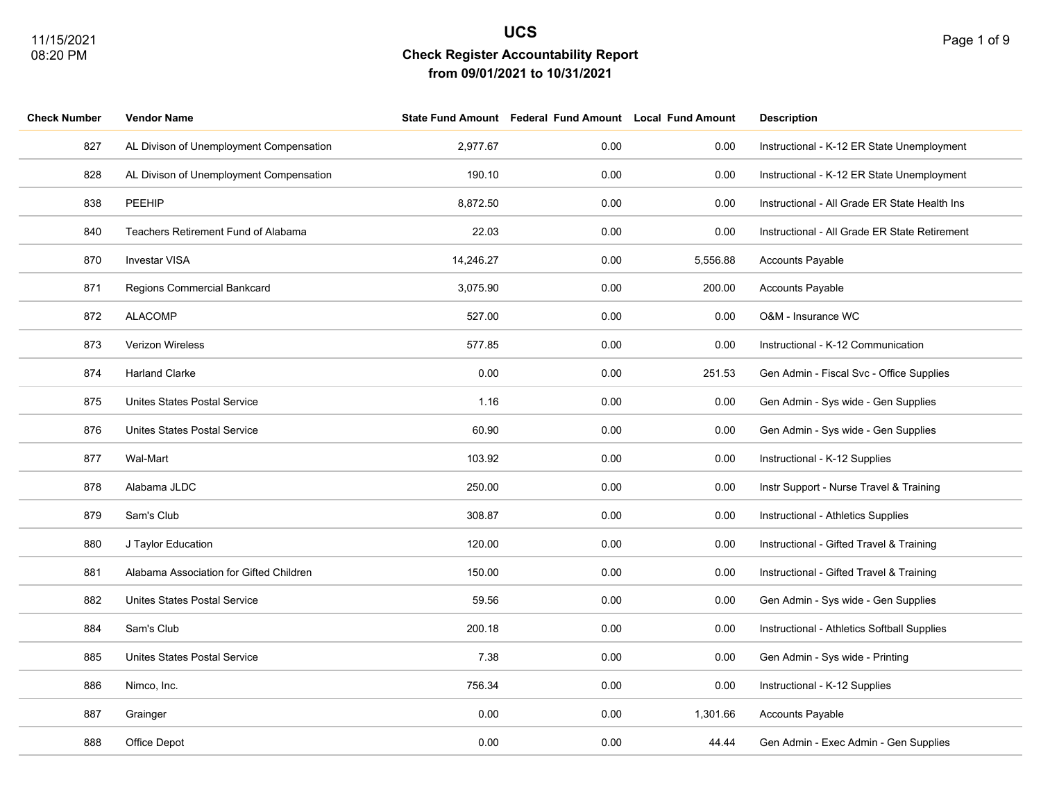|  | Page 1 of 9 |  |  |  |
|--|-------------|--|--|--|
|--|-------------|--|--|--|

| <b>Check Number</b> | <b>Vendor Name</b>                         |           | State Fund Amount Federal Fund Amount Local Fund Amount |          | <b>Description</b>                            |
|---------------------|--------------------------------------------|-----------|---------------------------------------------------------|----------|-----------------------------------------------|
| 827                 | AL Divison of Unemployment Compensation    | 2,977.67  | 0.00                                                    | 0.00     | Instructional - K-12 ER State Unemployment    |
| 828                 | AL Divison of Unemployment Compensation    | 190.10    | 0.00                                                    | 0.00     | Instructional - K-12 ER State Unemployment    |
| 838                 | PEEHIP                                     | 8,872.50  | 0.00                                                    | 0.00     | Instructional - All Grade ER State Health Ins |
| 840                 | <b>Teachers Retirement Fund of Alabama</b> | 22.03     | 0.00                                                    | 0.00     | Instructional - All Grade ER State Retirement |
| 870                 | Investar VISA                              | 14,246.27 | 0.00                                                    | 5,556.88 | Accounts Payable                              |
| 871                 | Regions Commercial Bankcard                | 3,075.90  | 0.00                                                    | 200.00   | Accounts Payable                              |
| 872                 | <b>ALACOMP</b>                             | 527.00    | 0.00                                                    | 0.00     | O&M - Insurance WC                            |
| 873                 | <b>Verizon Wireless</b>                    | 577.85    | 0.00                                                    | 0.00     | Instructional - K-12 Communication            |
| 874                 | <b>Harland Clarke</b>                      | 0.00      | 0.00                                                    | 251.53   | Gen Admin - Fiscal Svc - Office Supplies      |
| 875                 | <b>Unites States Postal Service</b>        | 1.16      | 0.00                                                    | 0.00     | Gen Admin - Sys wide - Gen Supplies           |
| 876                 | Unites States Postal Service               | 60.90     | 0.00                                                    | 0.00     | Gen Admin - Sys wide - Gen Supplies           |
| 877                 | Wal-Mart                                   | 103.92    | 0.00                                                    | 0.00     | Instructional - K-12 Supplies                 |
| 878                 | Alabama JLDC                               | 250.00    | 0.00                                                    | 0.00     | Instr Support - Nurse Travel & Training       |
| 879                 | Sam's Club                                 | 308.87    | 0.00                                                    | 0.00     | Instructional - Athletics Supplies            |
| 880                 | J Taylor Education                         | 120.00    | 0.00                                                    | 0.00     | Instructional - Gifted Travel & Training      |
| 881                 | Alabama Association for Gifted Children    | 150.00    | 0.00                                                    | 0.00     | Instructional - Gifted Travel & Training      |
| 882                 | Unites States Postal Service               | 59.56     | 0.00                                                    | 0.00     | Gen Admin - Sys wide - Gen Supplies           |
| 884                 | Sam's Club                                 | 200.18    | 0.00                                                    | 0.00     | Instructional - Athletics Softball Supplies   |
| 885                 | Unites States Postal Service               | 7.38      | 0.00                                                    | 0.00     | Gen Admin - Sys wide - Printing               |
| 886                 | Nimco, Inc.                                | 756.34    | 0.00                                                    | 0.00     | Instructional - K-12 Supplies                 |
| 887                 | Grainger                                   | 0.00      | 0.00                                                    | 1,301.66 | Accounts Payable                              |
| 888                 | Office Depot                               | 0.00      | 0.00                                                    | 44.44    | Gen Admin - Exec Admin - Gen Supplies         |
|                     |                                            |           |                                                         |          |                                               |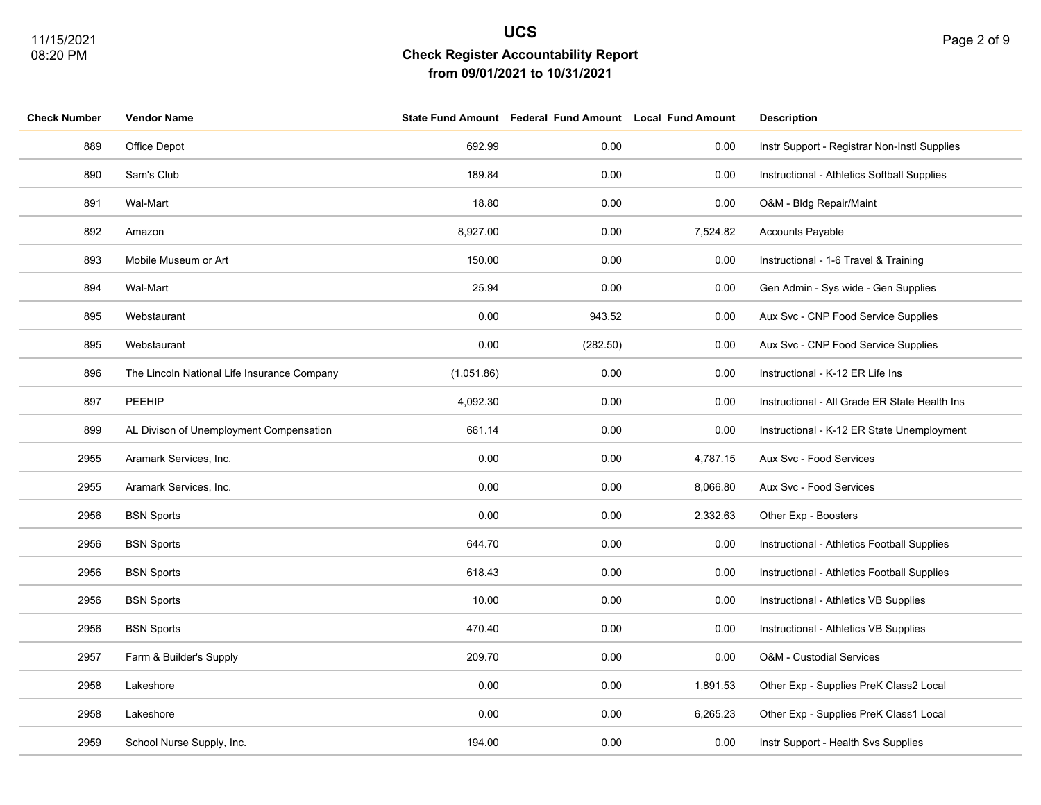**Check Number Vendor Name State Fund Amount Federal Fund Amount Local Fund Amount Description**

| t                        |                    |  |
|--------------------------|--------------------|--|
|                          |                    |  |
|                          |                    |  |
| <b>Local Fund Amount</b> | <b>Description</b> |  |

| 889  | Office Depot                                | 692.99     | 0.00     | 0.00     | Instr Support - Registrar Non-Instl Supplies  |
|------|---------------------------------------------|------------|----------|----------|-----------------------------------------------|
| 890  | Sam's Club                                  | 189.84     | 0.00     | 0.00     | Instructional - Athletics Softball Supplies   |
| 891  | Wal-Mart                                    | 18.80      | 0.00     | 0.00     | O&M - Bldg Repair/Maint                       |
| 892  | Amazon                                      | 8,927.00   | 0.00     | 7,524.82 | Accounts Payable                              |
| 893  | Mobile Museum or Art                        | 150.00     | 0.00     | 0.00     | Instructional - 1-6 Travel & Training         |
| 894  | Wal-Mart                                    | 25.94      | 0.00     | 0.00     | Gen Admin - Sys wide - Gen Supplies           |
| 895  | Webstaurant                                 | 0.00       | 943.52   | 0.00     | Aux Svc - CNP Food Service Supplies           |
| 895  | Webstaurant                                 | 0.00       | (282.50) | 0.00     | Aux Svc - CNP Food Service Supplies           |
| 896  | The Lincoln National Life Insurance Company | (1,051.86) | 0.00     | 0.00     | Instructional - K-12 ER Life Ins              |
| 897  | PEEHIP                                      | 4,092.30   | 0.00     | 0.00     | Instructional - All Grade ER State Health Ins |
| 899  | AL Divison of Unemployment Compensation     | 661.14     | 0.00     | 0.00     | Instructional - K-12 ER State Unemployment    |
| 2955 | Aramark Services, Inc.                      | 0.00       | 0.00     | 4,787.15 | Aux Svc - Food Services                       |
| 2955 | Aramark Services, Inc.                      | 0.00       | 0.00     | 8,066.80 | Aux Svc - Food Services                       |
| 2956 | <b>BSN Sports</b>                           | 0.00       | 0.00     | 2,332.63 | Other Exp - Boosters                          |
| 2956 | <b>BSN Sports</b>                           | 644.70     | 0.00     | 0.00     | Instructional - Athletics Football Supplies   |
| 2956 | <b>BSN Sports</b>                           | 618.43     | 0.00     | 0.00     | Instructional - Athletics Football Supplies   |
| 2956 | <b>BSN Sports</b>                           | 10.00      | 0.00     | 0.00     | Instructional - Athletics VB Supplies         |
| 2956 | <b>BSN Sports</b>                           | 470.40     | 0.00     | 0.00     | Instructional - Athletics VB Supplies         |
| 2957 | Farm & Builder's Supply                     | 209.70     | 0.00     | 0.00     | O&M - Custodial Services                      |
| 2958 | Lakeshore                                   | 0.00       | 0.00     | 1,891.53 | Other Exp - Supplies PreK Class2 Local        |
| 2958 | Lakeshore                                   | 0.00       | 0.00     | 6,265.23 | Other Exp - Supplies PreK Class1 Local        |
| 2959 | School Nurse Supply, Inc.                   | 194.00     | 0.00     | 0.00     | Instr Support - Health Svs Supplies           |
|      |                                             |            |          |          |                                               |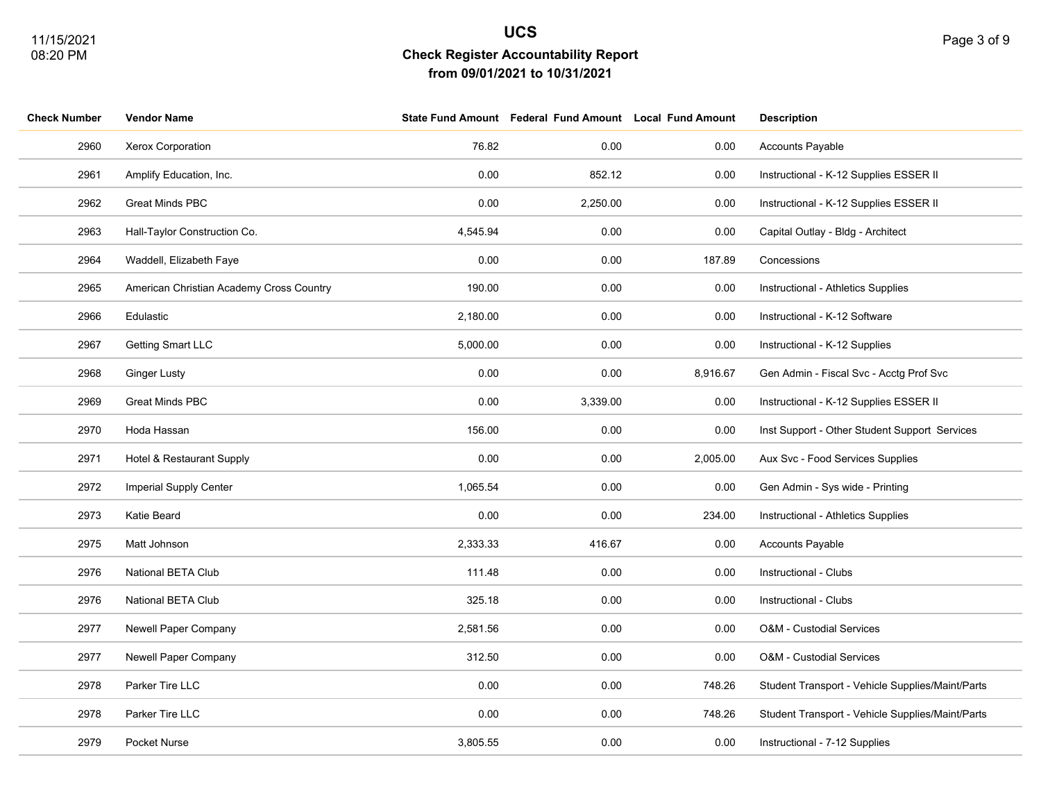| Page 3 of 9 |
|-------------|
|             |

| <b>Check Number</b> | <b>Vendor Name</b>                       |          | State Fund Amount Federal Fund Amount Local Fund Amount |          | <b>Description</b>                               |
|---------------------|------------------------------------------|----------|---------------------------------------------------------|----------|--------------------------------------------------|
| 2960                | Xerox Corporation                        | 76.82    | 0.00                                                    | 0.00     | Accounts Payable                                 |
| 2961                | Amplify Education, Inc.                  | 0.00     | 852.12                                                  | 0.00     | Instructional - K-12 Supplies ESSER II           |
| 2962                | <b>Great Minds PBC</b>                   | 0.00     | 2,250.00                                                | 0.00     | Instructional - K-12 Supplies ESSER II           |
| 2963                | Hall-Taylor Construction Co.             | 4,545.94 | 0.00                                                    | 0.00     | Capital Outlay - Bldg - Architect                |
| 2964                | Waddell, Elizabeth Faye                  | 0.00     | 0.00                                                    | 187.89   | Concessions                                      |
| 2965                | American Christian Academy Cross Country | 190.00   | 0.00                                                    | 0.00     | Instructional - Athletics Supplies               |
| 2966                | Edulastic                                | 2,180.00 | 0.00                                                    | 0.00     | Instructional - K-12 Software                    |
| 2967                | Getting Smart LLC                        | 5,000.00 | 0.00                                                    | 0.00     | Instructional - K-12 Supplies                    |
| 2968                | <b>Ginger Lusty</b>                      | 0.00     | 0.00                                                    | 8,916.67 | Gen Admin - Fiscal Svc - Acctg Prof Svc          |
| 2969                | Great Minds PBC                          | 0.00     | 3,339.00                                                | 0.00     | Instructional - K-12 Supplies ESSER II           |
| 2970                | Hoda Hassan                              | 156.00   | 0.00                                                    | 0.00     | Inst Support - Other Student Support Services    |
| 2971                | Hotel & Restaurant Supply                | 0.00     | 0.00                                                    | 2,005.00 | Aux Svc - Food Services Supplies                 |
| 2972                | <b>Imperial Supply Center</b>            | 1,065.54 | 0.00                                                    | 0.00     | Gen Admin - Sys wide - Printing                  |
| 2973                | Katie Beard                              | 0.00     | 0.00                                                    | 234.00   | Instructional - Athletics Supplies               |
| 2975                | Matt Johnson                             | 2,333.33 | 416.67                                                  | 0.00     | <b>Accounts Payable</b>                          |
| 2976                | National BETA Club                       | 111.48   | 0.00                                                    | 0.00     | Instructional - Clubs                            |
| 2976                | National BETA Club                       | 325.18   | 0.00                                                    | 0.00     | Instructional - Clubs                            |
| 2977                | Newell Paper Company                     | 2,581.56 | 0.00                                                    | 0.00     | O&M - Custodial Services                         |
| 2977                | Newell Paper Company                     | 312.50   | 0.00                                                    | 0.00     | O&M - Custodial Services                         |
| 2978                | Parker Tire LLC                          | 0.00     | 0.00                                                    | 748.26   | Student Transport - Vehicle Supplies/Maint/Parts |
| 2978                | Parker Tire LLC                          | 0.00     | 0.00                                                    | 748.26   | Student Transport - Vehicle Supplies/Maint/Parts |
| 2979                | Pocket Nurse                             | 3,805.55 | 0.00                                                    | 0.00     | Instructional - 7-12 Supplies                    |
|                     |                                          |          |                                                         |          |                                                  |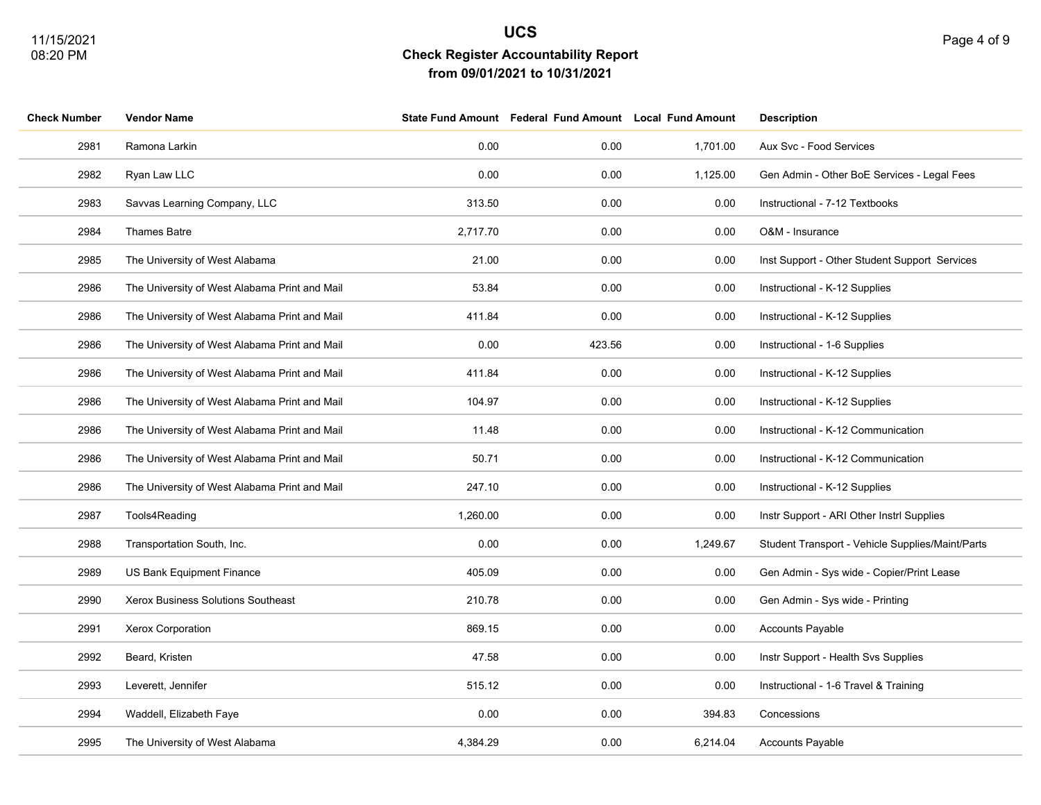| <b>Check Number</b> | <b>Vendor Name</b>                            |          | State Fund Amount Federal Fund Amount Local Fund Amount |          | <b>Description</b>                               |
|---------------------|-----------------------------------------------|----------|---------------------------------------------------------|----------|--------------------------------------------------|
| 2981                | Ramona Larkin                                 | 0.00     | 0.00                                                    | 1,701.00 | Aux Svc - Food Services                          |
| 2982                | Ryan Law LLC                                  | 0.00     | 0.00                                                    | 1,125.00 | Gen Admin - Other BoE Services - Legal Fees      |
| 2983                | Savvas Learning Company, LLC                  | 313.50   | 0.00                                                    | 0.00     | Instructional - 7-12 Textbooks                   |
| 2984                | Thames Batre                                  | 2,717.70 | 0.00                                                    | 0.00     | O&M - Insurance                                  |
| 2985                | The University of West Alabama                | 21.00    | 0.00                                                    | 0.00     | Inst Support - Other Student Support Services    |
| 2986                | The University of West Alabama Print and Mail | 53.84    | 0.00                                                    | 0.00     | Instructional - K-12 Supplies                    |
| 2986                | The University of West Alabama Print and Mail | 411.84   | 0.00                                                    | 0.00     | Instructional - K-12 Supplies                    |
| 2986                | The University of West Alabama Print and Mail | 0.00     | 423.56                                                  | 0.00     | Instructional - 1-6 Supplies                     |
| 2986                | The University of West Alabama Print and Mail | 411.84   | 0.00                                                    | 0.00     | Instructional - K-12 Supplies                    |
| 2986                | The University of West Alabama Print and Mail | 104.97   | 0.00                                                    | 0.00     | Instructional - K-12 Supplies                    |
| 2986                | The University of West Alabama Print and Mail | 11.48    | 0.00                                                    | 0.00     | Instructional - K-12 Communication               |
| 2986                | The University of West Alabama Print and Mail | 50.71    | 0.00                                                    | 0.00     | Instructional - K-12 Communication               |
| 2986                | The University of West Alabama Print and Mail | 247.10   | 0.00                                                    | 0.00     | Instructional - K-12 Supplies                    |
| 2987                | Tools4Reading                                 | 1,260.00 | 0.00                                                    | 0.00     | Instr Support - ARI Other Instrl Supplies        |
| 2988                | Transportation South, Inc.                    | 0.00     | 0.00                                                    | 1,249.67 | Student Transport - Vehicle Supplies/Maint/Parts |
| 2989                | US Bank Equipment Finance                     | 405.09   | 0.00                                                    | 0.00     | Gen Admin - Sys wide - Copier/Print Lease        |
| 2990                | Xerox Business Solutions Southeast            | 210.78   | 0.00                                                    | 0.00     | Gen Admin - Sys wide - Printing                  |
| 2991                | Xerox Corporation                             | 869.15   | 0.00                                                    | 0.00     | <b>Accounts Payable</b>                          |
| 2992                | Beard, Kristen                                | 47.58    | 0.00                                                    | 0.00     | Instr Support - Health Svs Supplies              |
| 2993                | Leverett, Jennifer                            | 515.12   | 0.00                                                    | 0.00     | Instructional - 1-6 Travel & Training            |
| 2994                | Waddell, Elizabeth Faye                       | 0.00     | 0.00                                                    | 394.83   | Concessions                                      |
| 2995                | The University of West Alabama                | 4,384.29 | 0.00                                                    | 6,214.04 | <b>Accounts Payable</b>                          |
|                     |                                               |          |                                                         |          |                                                  |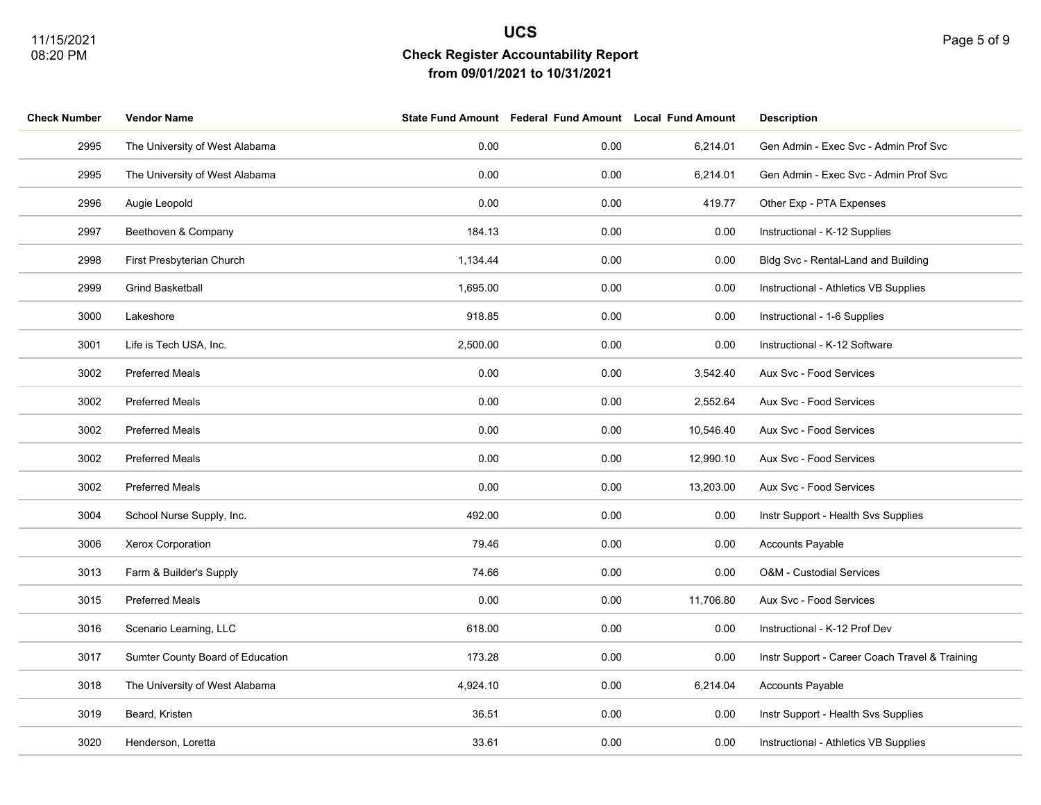| <b>Check Number</b> | <b>Vendor Name</b>               |          | State Fund Amount Federal Fund Amount Local Fund Amount |           | <b>Description</b>                             |
|---------------------|----------------------------------|----------|---------------------------------------------------------|-----------|------------------------------------------------|
| 2995                | The University of West Alabama   | 0.00     | 0.00                                                    | 6,214.01  | Gen Admin - Exec Svc - Admin Prof Svc          |
| 2995                | The University of West Alabama   | 0.00     | 0.00                                                    | 6,214.01  | Gen Admin - Exec Svc - Admin Prof Svc          |
| 2996                | Augie Leopold                    | 0.00     | 0.00                                                    | 419.77    | Other Exp - PTA Expenses                       |
| 2997                | Beethoven & Company              | 184.13   | 0.00                                                    | 0.00      | Instructional - K-12 Supplies                  |
| 2998                | First Presbyterian Church        | 1,134.44 | 0.00                                                    | 0.00      | Bldg Svc - Rental-Land and Building            |
| 2999                | <b>Grind Basketball</b>          | 1,695.00 | 0.00                                                    | 0.00      | Instructional - Athletics VB Supplies          |
| 3000                | Lakeshore                        | 918.85   | 0.00                                                    | 0.00      | Instructional - 1-6 Supplies                   |
| 3001                | Life is Tech USA, Inc.           | 2,500.00 | 0.00                                                    | 0.00      | Instructional - K-12 Software                  |
| 3002                | Preferred Meals                  | 0.00     | 0.00                                                    | 3,542.40  | Aux Svc - Food Services                        |
| 3002                | <b>Preferred Meals</b>           | 0.00     | 0.00                                                    | 2,552.64  | Aux Svc - Food Services                        |
| 3002                | <b>Preferred Meals</b>           | 0.00     | 0.00                                                    | 10,546.40 | Aux Svc - Food Services                        |
| 3002                | <b>Preferred Meals</b>           | 0.00     | 0.00                                                    | 12,990.10 | Aux Svc - Food Services                        |
| 3002                | Preferred Meals                  | 0.00     | 0.00                                                    | 13,203.00 | Aux Svc - Food Services                        |
| 3004                | School Nurse Supply, Inc.        | 492.00   | 0.00                                                    | 0.00      | Instr Support - Health Svs Supplies            |
| 3006                | Xerox Corporation                | 79.46    | 0.00                                                    | 0.00      | <b>Accounts Payable</b>                        |
| 3013                | Farm & Builder's Supply          | 74.66    | 0.00                                                    | 0.00      | O&M - Custodial Services                       |
| 3015                | <b>Preferred Meals</b>           | 0.00     | 0.00                                                    | 11,706.80 | Aux Svc - Food Services                        |
| 3016                | Scenario Learning, LLC           | 618.00   | 0.00                                                    | 0.00      | Instructional - K-12 Prof Dev                  |
| 3017                | Sumter County Board of Education | 173.28   | 0.00                                                    | 0.00      | Instr Support - Career Coach Travel & Training |
| 3018                | The University of West Alabama   | 4,924.10 | 0.00                                                    | 6,214.04  | Accounts Payable                               |
| 3019                | Beard, Kristen                   | 36.51    | 0.00                                                    | 0.00      | Instr Support - Health Svs Supplies            |
| 3020                | Henderson, Loretta               | 33.61    | 0.00                                                    | 0.00      | Instructional - Athletics VB Supplies          |
|                     |                                  |          |                                                         |           |                                                |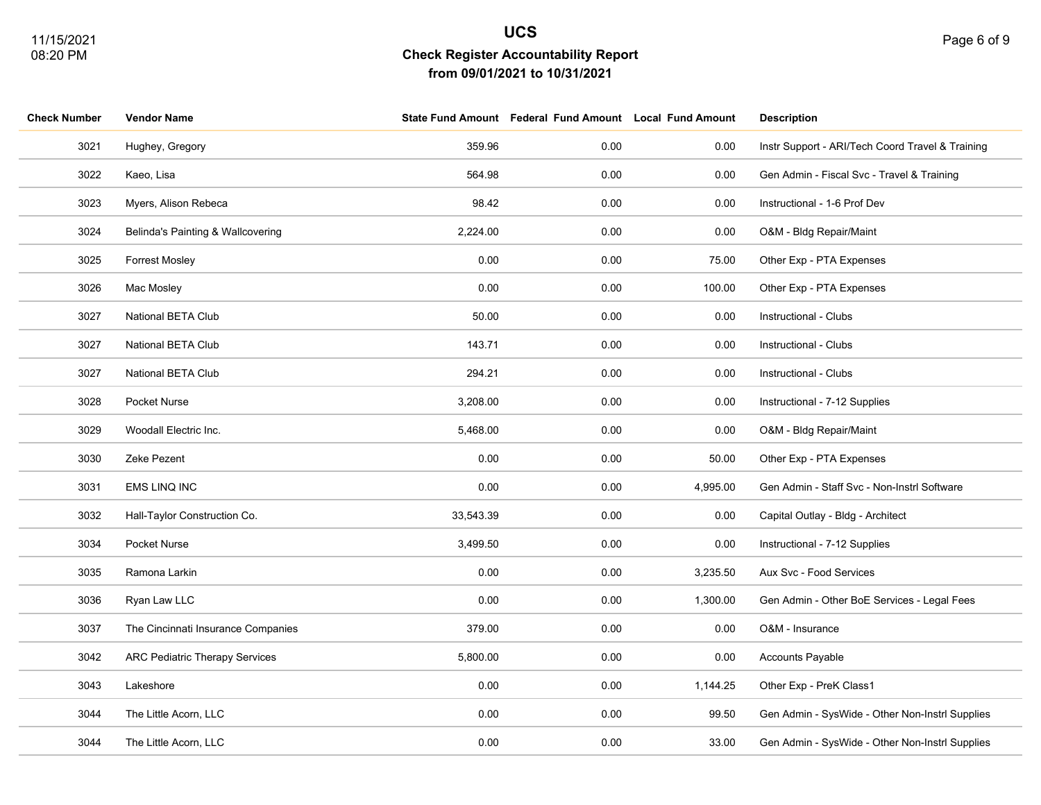| <b>Check Number</b> | <b>Vendor Name</b>                    |           | State Fund Amount Federal Fund Amount Local Fund Amount |          | <b>Description</b>                               |
|---------------------|---------------------------------------|-----------|---------------------------------------------------------|----------|--------------------------------------------------|
| 3021                | Hughey, Gregory                       | 359.96    | 0.00                                                    | 0.00     | Instr Support - ARI/Tech Coord Travel & Training |
| 3022                | Kaeo, Lisa                            | 564.98    | 0.00                                                    | 0.00     | Gen Admin - Fiscal Svc - Travel & Training       |
| 3023                | Myers, Alison Rebeca                  | 98.42     | 0.00                                                    | 0.00     | Instructional - 1-6 Prof Dev                     |
| 3024                | Belinda's Painting & Wallcovering     | 2,224.00  | 0.00                                                    | 0.00     | O&M - Bldg Repair/Maint                          |
| 3025                | <b>Forrest Mosley</b>                 | 0.00      | 0.00                                                    | 75.00    | Other Exp - PTA Expenses                         |
| 3026                | Mac Mosley                            | 0.00      | 0.00                                                    | 100.00   | Other Exp - PTA Expenses                         |
| 3027                | National BETA Club                    | 50.00     | 0.00                                                    | 0.00     | Instructional - Clubs                            |
| 3027                | National BETA Club                    | 143.71    | 0.00                                                    | 0.00     | Instructional - Clubs                            |
| 3027                | National BETA Club                    | 294.21    | 0.00                                                    | 0.00     | Instructional - Clubs                            |
| 3028                | Pocket Nurse                          | 3,208.00  | 0.00                                                    | 0.00     | Instructional - 7-12 Supplies                    |
| 3029                | Woodall Electric Inc.                 | 5,468.00  | 0.00                                                    | 0.00     | O&M - Bldg Repair/Maint                          |
| 3030                | Zeke Pezent                           | 0.00      | 0.00                                                    | 50.00    | Other Exp - PTA Expenses                         |
| 3031                | <b>EMS LINQ INC</b>                   | 0.00      | 0.00                                                    | 4,995.00 | Gen Admin - Staff Svc - Non-Instrl Software      |
| 3032                | Hall-Taylor Construction Co.          | 33,543.39 | 0.00                                                    | 0.00     | Capital Outlay - Bldg - Architect                |
| 3034                | Pocket Nurse                          | 3,499.50  | 0.00                                                    | 0.00     | Instructional - 7-12 Supplies                    |
| 3035                | Ramona Larkin                         | 0.00      | 0.00                                                    | 3,235.50 | Aux Svc - Food Services                          |
| 3036                | Ryan Law LLC                          | 0.00      | 0.00                                                    | 1,300.00 | Gen Admin - Other BoE Services - Legal Fees      |
| 3037                | The Cincinnati Insurance Companies    | 379.00    | 0.00                                                    | 0.00     | O&M - Insurance                                  |
| 3042                | <b>ARC Pediatric Therapy Services</b> | 5,800.00  | 0.00                                                    | 0.00     | Accounts Payable                                 |
| 3043                | Lakeshore                             | 0.00      | 0.00                                                    | 1,144.25 | Other Exp - PreK Class1                          |
| 3044                | The Little Acorn, LLC                 | 0.00      | 0.00                                                    | 99.50    | Gen Admin - SysWide - Other Non-Instrl Supplies  |
| 3044                | The Little Acorn, LLC                 | 0.00      | 0.00                                                    | 33.00    | Gen Admin - SysWide - Other Non-Instrl Supplies  |
|                     |                                       |           |                                                         |          |                                                  |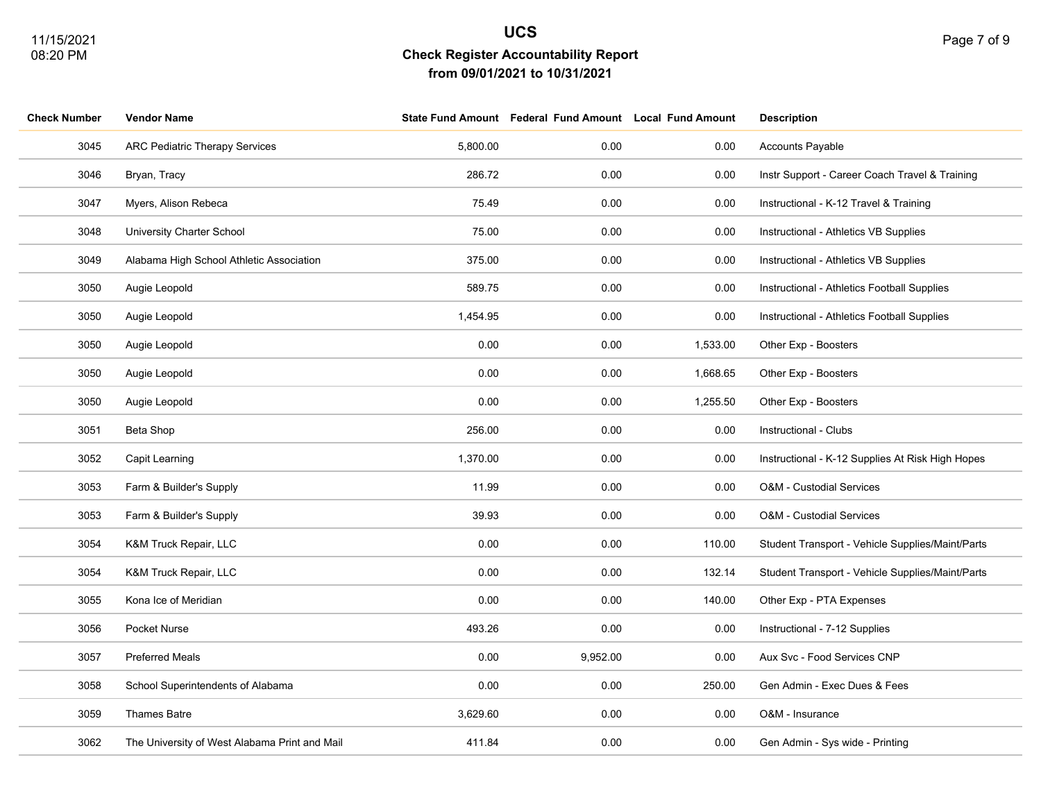| <b>Check Number</b> | <b>Vendor Name</b>                            |          | State Fund Amount Federal Fund Amount Local Fund Amount |          | <b>Description</b>                               |
|---------------------|-----------------------------------------------|----------|---------------------------------------------------------|----------|--------------------------------------------------|
| 3045                | <b>ARC Pediatric Therapy Services</b>         | 5,800.00 | 0.00                                                    | 0.00     | Accounts Payable                                 |
| 3046                | Bryan, Tracy                                  | 286.72   | 0.00                                                    | 0.00     | Instr Support - Career Coach Travel & Training   |
| 3047                | Myers, Alison Rebeca                          | 75.49    | 0.00                                                    | 0.00     | Instructional - K-12 Travel & Training           |
| 3048                | University Charter School                     | 75.00    | 0.00                                                    | 0.00     | Instructional - Athletics VB Supplies            |
| 3049                | Alabama High School Athletic Association      | 375.00   | 0.00                                                    | 0.00     | Instructional - Athletics VB Supplies            |
| 3050                | Augie Leopold                                 | 589.75   | 0.00                                                    | 0.00     | Instructional - Athletics Football Supplies      |
| 3050                | Augie Leopold                                 | 1,454.95 | 0.00                                                    | 0.00     | Instructional - Athletics Football Supplies      |
| 3050                | Augie Leopold                                 | 0.00     | 0.00                                                    | 1,533.00 | Other Exp - Boosters                             |
| 3050                | Augie Leopold                                 | 0.00     | 0.00                                                    | 1,668.65 | Other Exp - Boosters                             |
| 3050                | Augie Leopold                                 | 0.00     | 0.00                                                    | 1,255.50 | Other Exp - Boosters                             |
| 3051                | Beta Shop                                     | 256.00   | 0.00                                                    | 0.00     | Instructional - Clubs                            |
| 3052                | Capit Learning                                | 1,370.00 | 0.00                                                    | 0.00     | Instructional - K-12 Supplies At Risk High Hopes |
| 3053                | Farm & Builder's Supply                       | 11.99    | 0.00                                                    | 0.00     | O&M - Custodial Services                         |
| 3053                | Farm & Builder's Supply                       | 39.93    | 0.00                                                    | 0.00     | <b>O&amp;M - Custodial Services</b>              |
| 3054                | K&M Truck Repair, LLC                         | 0.00     | 0.00                                                    | 110.00   | Student Transport - Vehicle Supplies/Maint/Parts |
| 3054                | K&M Truck Repair, LLC                         | 0.00     | 0.00                                                    | 132.14   | Student Transport - Vehicle Supplies/Maint/Parts |
| 3055                | Kona Ice of Meridian                          | 0.00     | 0.00                                                    | 140.00   | Other Exp - PTA Expenses                         |
| 3056                | Pocket Nurse                                  | 493.26   | 0.00                                                    | 0.00     | Instructional - 7-12 Supplies                    |
| 3057                | <b>Preferred Meals</b>                        | 0.00     | 9,952.00                                                | 0.00     | Aux Svc - Food Services CNP                      |
| 3058                | School Superintendents of Alabama             | 0.00     | 0.00                                                    | 250.00   | Gen Admin - Exec Dues & Fees                     |
| 3059                | <b>Thames Batre</b>                           | 3,629.60 | 0.00                                                    | 0.00     | O&M - Insurance                                  |
| 3062                | The University of West Alabama Print and Mail | 411.84   | 0.00                                                    | 0.00     | Gen Admin - Sys wide - Printing                  |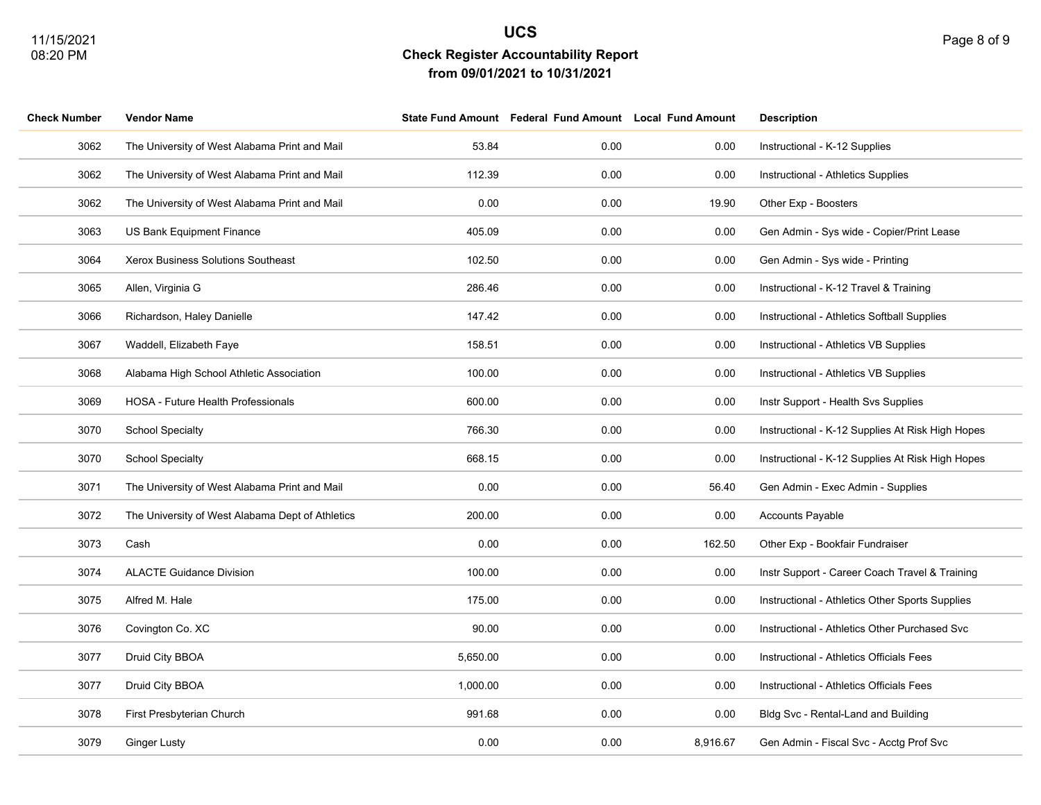| <b>Check Number</b> | Vendor Name                                      |          | State Fund Amount Federal Fund Amount Local Fund Amount |          | <b>Description</b>                               |
|---------------------|--------------------------------------------------|----------|---------------------------------------------------------|----------|--------------------------------------------------|
| 3062                | The University of West Alabama Print and Mail    | 53.84    | 0.00                                                    | 0.00     | Instructional - K-12 Supplies                    |
| 3062                | The University of West Alabama Print and Mail    | 112.39   | 0.00                                                    | 0.00     | Instructional - Athletics Supplies               |
| 3062                | The University of West Alabama Print and Mail    | 0.00     | 0.00                                                    | 19.90    | Other Exp - Boosters                             |
| 3063                | US Bank Equipment Finance                        | 405.09   | 0.00                                                    | 0.00     | Gen Admin - Sys wide - Copier/Print Lease        |
| 3064                | Xerox Business Solutions Southeast               | 102.50   | 0.00                                                    | 0.00     | Gen Admin - Sys wide - Printing                  |
| 3065                | Allen, Virginia G                                | 286.46   | 0.00                                                    | 0.00     | Instructional - K-12 Travel & Training           |
| 3066                | Richardson, Haley Danielle                       | 147.42   | 0.00                                                    | 0.00     | Instructional - Athletics Softball Supplies      |
| 3067                | Waddell, Elizabeth Faye                          | 158.51   | 0.00                                                    | 0.00     | Instructional - Athletics VB Supplies            |
| 3068                | Alabama High School Athletic Association         | 100.00   | 0.00                                                    | 0.00     | Instructional - Athletics VB Supplies            |
| 3069                | HOSA - Future Health Professionals               | 600.00   | 0.00                                                    | 0.00     | Instr Support - Health Svs Supplies              |
| 3070                | <b>School Specialty</b>                          | 766.30   | 0.00                                                    | 0.00     | Instructional - K-12 Supplies At Risk High Hopes |
| 3070                | <b>School Specialty</b>                          | 668.15   | 0.00                                                    | 0.00     | Instructional - K-12 Supplies At Risk High Hopes |
| 3071                | The University of West Alabama Print and Mail    | 0.00     | 0.00                                                    | 56.40    | Gen Admin - Exec Admin - Supplies                |
| 3072                | The University of West Alabama Dept of Athletics | 200.00   | 0.00                                                    | 0.00     | <b>Accounts Payable</b>                          |
| 3073                | Cash                                             | 0.00     | 0.00                                                    | 162.50   | Other Exp - Bookfair Fundraiser                  |
| 3074                | <b>ALACTE Guidance Division</b>                  | 100.00   | 0.00                                                    | 0.00     | Instr Support - Career Coach Travel & Training   |
| 3075                | Alfred M. Hale                                   | 175.00   | 0.00                                                    | 0.00     | Instructional - Athletics Other Sports Supplies  |
| 3076                | Covington Co. XC                                 | 90.00    | 0.00                                                    | 0.00     | Instructional - Athletics Other Purchased Svc    |
| 3077                | Druid City BBOA                                  | 5,650.00 | 0.00                                                    | 0.00     | Instructional - Athletics Officials Fees         |
| 3077                | Druid City BBOA                                  | 1,000.00 | 0.00                                                    | 0.00     | Instructional - Athletics Officials Fees         |
| 3078                | First Presbyterian Church                        | 991.68   | 0.00                                                    | 0.00     | Bldg Svc - Rental-Land and Building              |
| 3079                | Ginger Lusty                                     | 0.00     | 0.00                                                    | 8,916.67 | Gen Admin - Fiscal Svc - Acctg Prof Svc          |
|                     |                                                  |          |                                                         |          |                                                  |